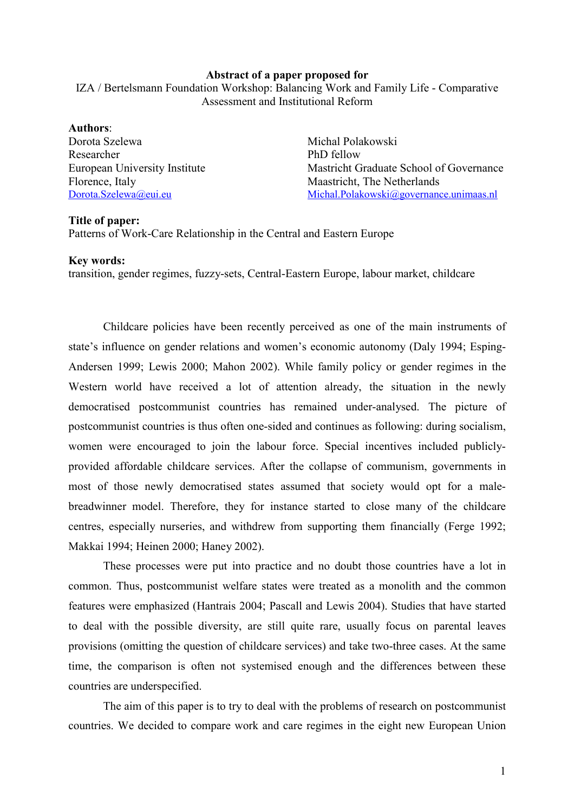## Abstract of a paper proposed for

IZA / Bertelsmann Foundation Workshop: Balancing Work and Family Life - Comparative Assessment and Institutional Reform

Authors: Dorota Szelewa **Michal Polakowski** Researcher PhD fellow Florence, Italy Maastricht, The Netherlands

European University Institute Mastricht Graduate School of Governance [Dorota.Szelewa@eui.eu](mailto:Dorota.Szelewa@eui.eu) [Michal.Polakowski@governance.unimaas.nl](mailto:Michal.Polakowski@governance.unimaas.nl)

## Title of paper:

Patterns of Work-Care Relationship in the Central and Eastern Europe

## Key words:

transition, gender regimes, fuzzy-sets, Central-Eastern Europe, labour market, childcare

Childcare policies have been recently perceived as one of the main instruments of state's influence on gender relations and women's economic autonomy (Daly 1994; Esping-Andersen 1999; Lewis 2000; Mahon 2002). While family policy or gender regimes in the Western world have received a lot of attention already, the situation in the newly democratised postcommunist countries has remained under-analysed. The picture of postcommunist countries is thus often one-sided and continues as following: during socialism, women were encouraged to join the labour force. Special incentives included publiclyprovided affordable childcare services. After the collapse of communism, governments in most of those newly democratised states assumed that society would opt for a malebreadwinner model. Therefore, they for instance started to close many of the childcare centres, especially nurseries, and withdrew from supporting them financially (Ferge 1992; Makkai 1994; Heinen 2000; Haney 2002).

These processes were put into practice and no doubt those countries have a lot in common. Thus, postcommunist welfare states were treated as a monolith and the common features were emphasized (Hantrais 2004; Pascall and Lewis 2004). Studies that have started to deal with the possible diversity, are still quite rare, usually focus on parental leaves provisions (omitting the question of childcare services) and take two-three cases. At the same time, the comparison is often not systemised enough and the differences between these countries are underspecified.

The aim of this paper is to try to deal with the problems of research on postcommunist countries. We decided to compare work and care regimes in the eight new European Union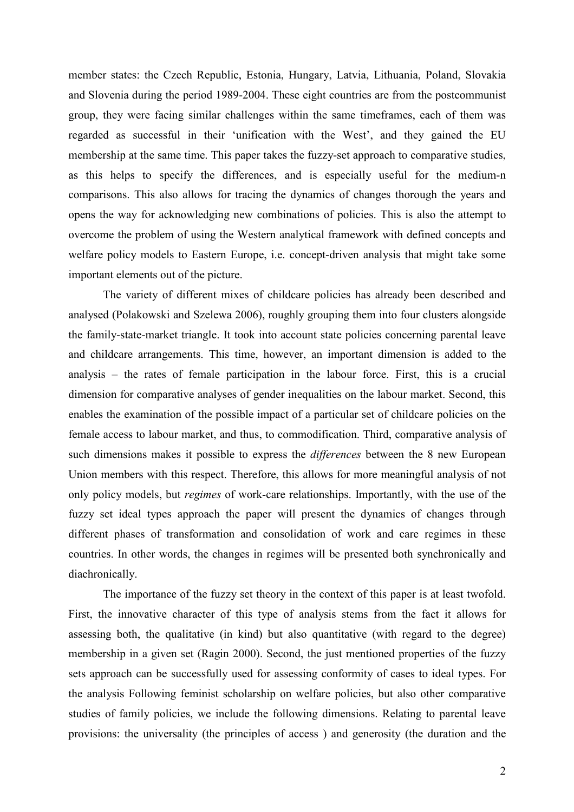member states: the Czech Republic, Estonia, Hungary, Latvia, Lithuania, Poland, Slovakia and Slovenia during the period 1989-2004. These eight countries are from the postcommunist group, they were facing similar challenges within the same timeframes, each of them was regarded as successful in their 'unification with the West', and they gained the EU membership at the same time. This paper takes the fuzzy-set approach to comparative studies, as this helps to specify the differences, and is especially useful for the medium-n comparisons. This also allows for tracing the dynamics of changes thorough the years and opens the way for acknowledging new combinations of policies. This is also the attempt to overcome the problem of using the Western analytical framework with defined concepts and welfare policy models to Eastern Europe, i.e. concept-driven analysis that might take some important elements out of the picture.

The variety of different mixes of childcare policies has already been described and analysed (Polakowski and Szelewa 2006), roughly grouping them into four clusters alongside the family-state-market triangle. It took into account state policies concerning parental leave and childcare arrangements. This time, however, an important dimension is added to the analysis – the rates of female participation in the labour force. First, this is a crucial dimension for comparative analyses of gender inequalities on the labour market. Second, this enables the examination of the possible impact of a particular set of childcare policies on the female access to labour market, and thus, to commodification. Third, comparative analysis of such dimensions makes it possible to express the *differences* between the 8 new European Union members with this respect. Therefore, this allows for more meaningful analysis of not only policy models, but regimes of work-care relationships. Importantly, with the use of the fuzzy set ideal types approach the paper will present the dynamics of changes through different phases of transformation and consolidation of work and care regimes in these countries. In other words, the changes in regimes will be presented both synchronically and diachronically.

The importance of the fuzzy set theory in the context of this paper is at least twofold. First, the innovative character of this type of analysis stems from the fact it allows for assessing both, the qualitative (in kind) but also quantitative (with regard to the degree) membership in a given set (Ragin 2000). Second, the just mentioned properties of the fuzzy sets approach can be successfully used for assessing conformity of cases to ideal types. For the analysis Following feminist scholarship on welfare policies, but also other comparative studies of family policies, we include the following dimensions. Relating to parental leave provisions: the universality (the principles of access ) and generosity (the duration and the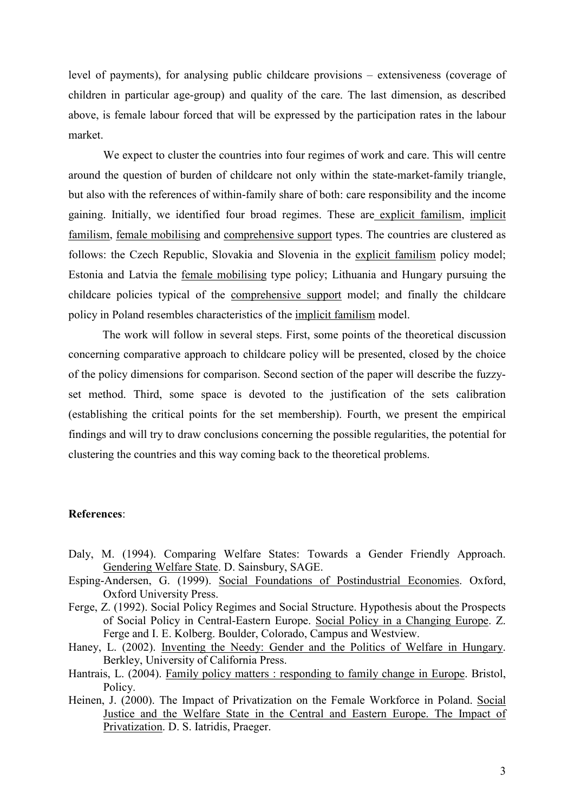level of payments), for analysing public childcare provisions – extensiveness (coverage of children in particular age-group) and quality of the care. The last dimension, as described above, is female labour forced that will be expressed by the participation rates in the labour market.

We expect to cluster the countries into four regimes of work and care. This will centre around the question of burden of childcare not only within the state-market-family triangle, but also with the references of within-family share of both: care responsibility and the income gaining. Initially, we identified four broad regimes. These are explicit familism, implicit familism, female mobilising and comprehensive support types. The countries are clustered as follows: the Czech Republic, Slovakia and Slovenia in the explicit familism policy model; Estonia and Latvia the female mobilising type policy; Lithuania and Hungary pursuing the childcare policies typical of the comprehensive support model; and finally the childcare policy in Poland resembles characteristics of the implicit familism model.

The work will follow in several steps. First, some points of the theoretical discussion concerning comparative approach to childcare policy will be presented, closed by the choice of the policy dimensions for comparison. Second section of the paper will describe the fuzzyset method. Third, some space is devoted to the justification of the sets calibration (establishing the critical points for the set membership). Fourth, we present the empirical findings and will try to draw conclusions concerning the possible regularities, the potential for clustering the countries and this way coming back to the theoretical problems.

## References:

- Daly, M. (1994). Comparing Welfare States: Towards a Gender Friendly Approach. Gendering Welfare State. D. Sainsbury, SAGE.
- Esping-Andersen, G. (1999). Social Foundations of Postindustrial Economies. Oxford, Oxford University Press.
- Ferge, Z. (1992). Social Policy Regimes and Social Structure. Hypothesis about the Prospects of Social Policy in Central-Eastern Europe. Social Policy in a Changing Europe. Z. Ferge and I. E. Kolberg. Boulder, Colorado, Campus and Westview.
- Haney, L. (2002). Inventing the Needy: Gender and the Politics of Welfare in Hungary. Berkley, University of California Press.
- Hantrais, L. (2004). Family policy matters : responding to family change in Europe. Bristol, Policy.
- Heinen, J. (2000). The Impact of Privatization on the Female Workforce in Poland. Social Justice and the Welfare State in the Central and Eastern Europe. The Impact of Privatization. D. S. Iatridis, Praeger.